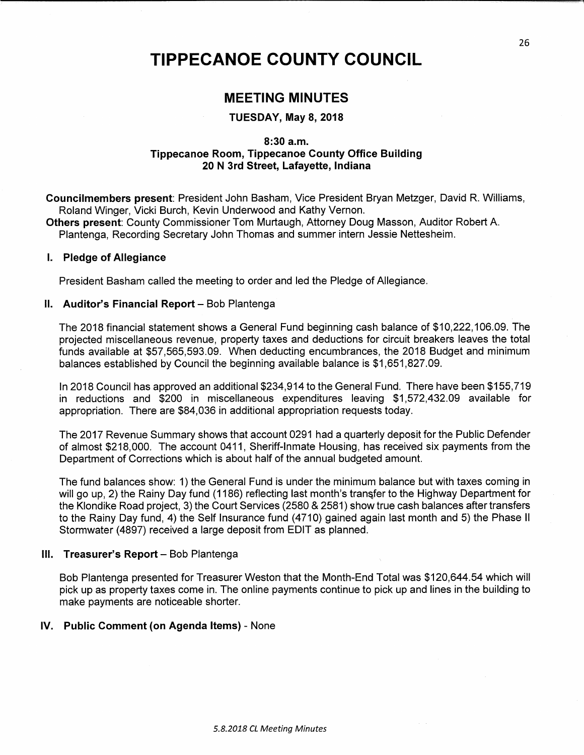# TIPPECANOE COUNTY COUNCIL

# MEETING MINUTES

#### TUESDAY, May 8, 2018

#### 8:30 a.m. Tippecanoe Room, Tippecanoe County Office Building 20 N 3rd Street, Lafayette, Indiana

Councilmembers present: President John Basham, Vice President Bryan Metzger, David R. Williams, Roland Winger, Vicki Burch, Kevin Underwood and Kathy Vernon.

Others present: County Commissioner Tom Murtaugh, Attorney Doug Masson, Auditor Robert A. Plantenga, Recording Secretary John Thomas and summer intern Jessie Nettesheim.

#### I. Pledge of Allegiance

President Basham called the meeting to order and led the Pledge of Allegiance.

#### ll. Auditor's Financial Report — Bob Plantenga

The 2018 financial statement shows <sup>a</sup> General Fund beginning cash balance of \$10,222,106.09. The projected miscellaneous revenue, property taxes and deductions for circuit breakers leaves the total funds available at \$57,565,593.09. When deducting encumbrances, the 2018 Budget and minimum balances established by Council the beginning available balance is \$1,651,827.09.

in 2018 Council has approved an additional \$234,914 to the General Fund. There have been \$155,719 in reductions and \$200 in miscellaneous expenditures leaving \$1,572,432.09 available for appropriation. There are \$84,036 in additional appropriation requests today.

The 2017 Revenue Summary shows that account 0291 had <sup>a</sup> quarterly deposit for the Public Defender of almost \$218,000. The account 0411, Sheriff-Inmate Housing, has received six payments from the Department of Corrections which is about half of the annual budgeted amount.

The fund balances show: 1) the General Fund is under the minimum balance but with taxes coming in will go up, 2) the Rainy Day fund (1186) reflecting last month's transfer to the Highway Department for the Klondike Road project, 3) the Court Services (2580 & 2581) show true cash balances aftertransfers to the Rainy Day fund, 4) the Self Insurance fund (4710) gained again last month and 5) the Phase II Stormwater (4897) received <sup>a</sup> large deposit from EDIT as planned.

#### Ill. Treasurer's Report — Bob Plantenga

Bob Plantenga presented for Treasurer Weston that the Month-End Total was \$120,644.54 which will pick up as preperty taxes come in. The online payments continue to pick up and lines in the building to make payments are noticeable shorter.

#### IV. Public Comment (on Agenda Items) — None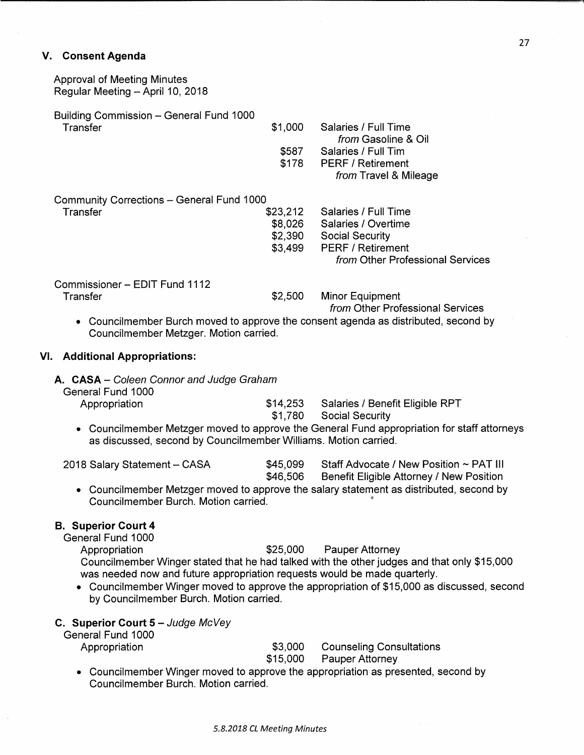## V. Consent Agenda

| <b>Approval of Meeting Minutes</b><br>Regular Meeting - April 10, 2018 |          |                                                                   |
|------------------------------------------------------------------------|----------|-------------------------------------------------------------------|
| Building Commission - General Fund 1000                                |          |                                                                   |
| Transfer                                                               | \$1,000  | Salaries / Full Time<br><i>from</i> Gasoline & Oil                |
|                                                                        | \$587    | Salaries / Full Tim                                               |
|                                                                        | \$178    | <b>PERF / Retirement</b>                                          |
|                                                                        |          | from Travel & Mileage                                             |
| <b>Community Corrections - General Fund 1000</b>                       |          |                                                                   |
| Transfer                                                               | \$23,212 | Salaries / Full Time                                              |
|                                                                        | \$8,026  | Salaries / Overtime                                               |
|                                                                        | \$2,390  | <b>Social Security</b>                                            |
|                                                                        | \$3,499  | <b>PERF / Retirement</b>                                          |
|                                                                        |          | <i>from</i> Other Professional Services                           |
| Commissioner - EDIT Fund 1112                                          |          |                                                                   |
| Transfer                                                               | \$2,500  | <b>Minor Equipment</b><br><i>from</i> Other Professional Services |

. Councilmember Burch moved to approve the consent agenda as distributed, second by Councilmember Metzger. Motion carried.

#### VI. Additional Appropriations:

A. CASA - Coleen Connor and Judge Graham

| General Fund 1000 |                                          |  |
|-------------------|------------------------------------------|--|
| Appropriation     | \$14,253 Salaries / Benefit Eligible RPT |  |
|                   | \$1,780 Social Security                  |  |

 $\bullet$   $\,$  Councilmember Metzger moved to approve the General Fund appropriation for staff attorneys as discussed, second by Councilmember Williams. Motion carried.

| 2018 Salary Statement – CASA | \$45,099 | Staff Advocate / New Position ~ PAT III  |  |
|------------------------------|----------|------------------------------------------|--|
|                              | \$46,506 | Benefit Eligible Attorney / New Position |  |

 $\bullet~$  Councilmember Metzger moved to approve the salary statement as distributed, second by Councilmember Burch. Motion carried.

# B. Superior Court 4

General Fund 1000

Appropriation  $$25,000$  Pauper Attorney

Councilmember Winger stated that he had talked with the other judges and that only \$15,000 was needed now and future appropriation requests would be made quarterly.

- . Councilmember Winger moved to approve the appropriation of \$15,000 as discussed, second by Councilmember Burch. Motion carried.
- C. Superior Court  $5 J$ udge McVey

| General Fund 1000 |  |
|-------------------|--|
|                   |  |

Appropriation **\$3,000** Counseling Consultations \$15,000 Pauper Attorney

• Councilmember Winger moved to approve the appropriation as presented, second by Councilmember Burch. Motion carried.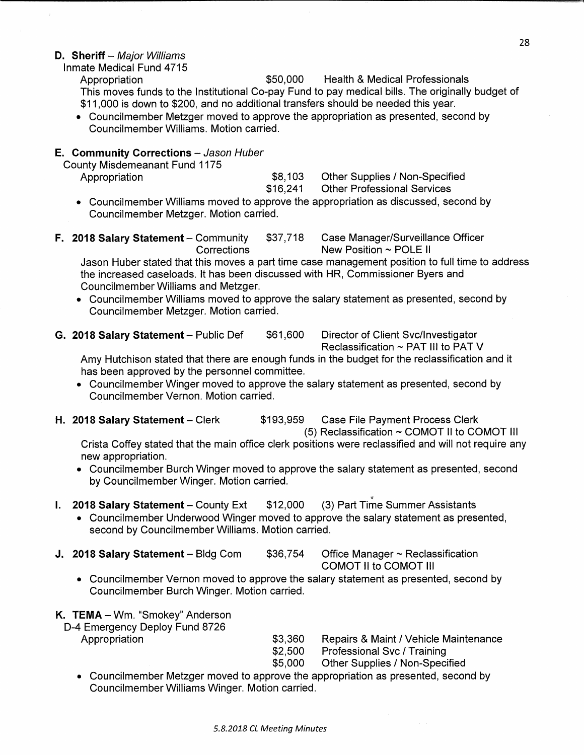#### D. Sheriff – Major Williams

Inmate Medical Fund 4715 Appropriation  $$50,000$  Health & Medical Professionals This moves funds to the Institutional Co-pay Fund to pay medical bills. The originally budget of \$11,000 is down to \$200, and no additional transfers should be needed this year.

• Councilmember Metzger moved to approve the appropriation as presented, second by Councilmember Williams. Motion carried. .

## E. Community Corrections - Jason Huber

| County Misdemeanant Fund 1175 |          |                                    |  |
|-------------------------------|----------|------------------------------------|--|
| Appropriation                 | \$8,103  | Other Supplies / Non-Specified     |  |
|                               | \$16.241 | <b>Other Professional Services</b> |  |

- $\bullet~$  Councilmember Williams moved to approve the appropriation as discussed, second by Councilmember Metzger. Motion carried.
- F. 2018 Salary Statement Community \$37,718 Case Manager/Surveillance Officer

Corrections New Position <sup>~</sup> POLE ll

Jason Huber stated that this moves <sup>a</sup> part time case management position to full time to address the increased caseloads. it has been discussed with HR, Commissioner Byers and Councilmember Williams and Metzger.

- $\bullet~$  Councilmember Williams moved to approve the salary statement as presented, second by Councilmember Metzger. Motion carried.
- G. 2018 Salary Statement Public Def  $$61,600$  Director of Client Svc/Investigator

Reclassification <sup>~</sup> PAT III to PAT V

Amy Hutchison stated that there are enough funds in the budget for the reclassification and it has been approved by the personnel committee.

- . Councilmember Winger moved to approve the salary statement as presented, second by Councilmember Vernon. Motion carried.
- 

H. 2018 Salary Statement - Clerk \$193,959 Case File Payment Process Clerk

(5) Reclassification <sup>~</sup> COMOT II to COMOT |l|

Crista Coffey stated that the main office clerk positions were reclassified and will not require any new appropriation.

. Councilmember Burch Winger moved to approve the salary statement as presented, second by Councilmember Winger. Motion carried.

# I. 2018 Salary Statement - County Ext  $$12,000$  (3) Part Time Summer Assistants

- $\bullet~$  Councilmember Underwood Winger moved to approve the salary statement as presented,  $\,$ second by Councilmember Williams. Motion carried.
- **J. 2018 Salary Statement** Bldg Com  $$36,754$  Office Manager  $\sim$  Reclassification

COMOT II to COMOT Ill

. Councilmember Vernon moved to approve the salary statement as presented, second by Councilmember Burch Winger. Motion carried. 2

# K. TEMA — Wm. "Smokey" Anderson

- D-4 Emergency Deploy Fund 8726
	-

Appropriation **\$3,360** Repairs & Maint / Vehicle Maintenance \$2,500 Professional Svc / Training

\$5,000 Other Supplies / Non-Specified

 $\bullet$   $\,$  Councilmember Metzger moved to approve the appropriation as presented, second by  $\,$ Councilmember Williams Winger. Motion carried.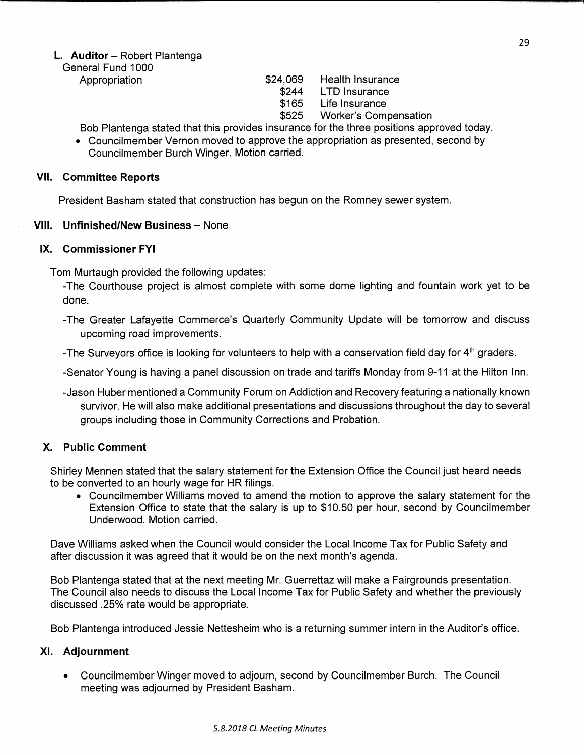### L. Auditor — Robert Plantenga

General Fund 1000

- Appropriation  $$24,069$  Health Insurance
	- \$244 LTD Insurance
	- \$165 Life Insurance

\$525 Worker's Compensation

Bob Plantenga stated that this provides insurance for the three positions approved today.

- Councilmember Vernon moved to approve the appropriation as presented, second by Councilmember Burch Winger. Motion carried.

#### VII. Committee Reports

President Basham stated that construction has begun on the Romney sewer system.

### VIII. Unfinished/New Business — None

### IX. Commissioner FYI

Tom Murtaugh provided the following updates:

-The Courthouse project is almost complete with some dome lighting and fountain work yet to be done.

-The Greater Lafayette Commerce's Quarterly Community Update will be tomorrow and discuss upcoming road improvements. <sup>A</sup>

-The Surveyors office is looking for volunteers to help with a conservation field day for 4<sup>th</sup> graders.

-Senator Young is having <sup>a</sup> panel discussion on trade and tariffs Monday from 9—11 at the Hilton Inn.

~Jason Huber mentioned <sup>a</sup> Community Forum on Addiction and Recovery featuring <sup>a</sup> nationally known survivor. He will also make additional presentations and discussions throughout the day to several groups including those in Community Corrections and Probation.

## X. Public Comment

Shirley Mennen stated that the salary statement for the Extension Office the Council just heard needs to be converted to an hourly wage for HR filings.

. Councilmember Williams moved to amend the motion to approve the salary statement for the Extension Office to state that the salary is up to \$10.50 per hour, second by Councilmember Underwood. Motion carried.

Dave Williams asked when the Council would consider the Local Income Tax for Public Safety and after discussion it was agreed that it would be on the next month's agenda.

Bob Plantenga stated that at the next meeting Mr. Guerrettaz will make a Fairgrounds presentation. The Council also needs to discuss the Local Income Tax for Public Safety and whether the previously discussed 25% rate would be appropriate.

Bob Plantenga introduced Jessie Nettesheim who is <sup>a</sup> returning summer intern in the Auditor's office.

## XI. Adjournment

. Councilmember Winger moved to adjourn, second by Councilmember Burch. The Council meeting was adjourned by President Basham.